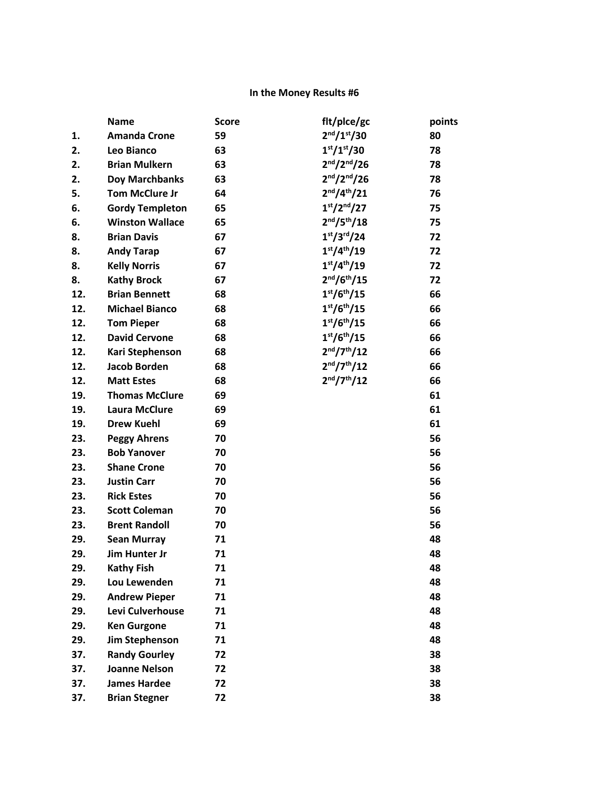## **In the Money Results #6**

|     | <b>Name</b>            | <b>Score</b> | flt/plce/gc                          | points |
|-----|------------------------|--------------|--------------------------------------|--------|
| 1.  | <b>Amanda Crone</b>    | 59           | 2 <sup>nd</sup> /1 <sup>st</sup> /30 | 80     |
| 2.  | Leo Bianco             | 63           | 1 <sup>st</sup> /1 <sup>st</sup> /30 | 78     |
| 2.  | <b>Brian Mulkern</b>   | 63           | 2 <sup>nd</sup> /2 <sup>nd</sup> /26 | 78     |
| 2.  | <b>Doy Marchbanks</b>  | 63           | 2 <sup>nd</sup> /2 <sup>nd</sup> /26 | 78     |
| 5.  | <b>Tom McClure Jr</b>  | 64           | $2^{nd}/4^{th}/21$                   | 76     |
| 6.  | <b>Gordy Templeton</b> | 65           | 1 <sup>st</sup> /2 <sup>nd</sup> /27 | 75     |
| 6.  | <b>Winston Wallace</b> | 65           | $2^{nd}/5^{th}/18$                   | 75     |
| 8.  | <b>Brian Davis</b>     | 67           | 1 <sup>st</sup> /3 <sup>rd</sup> /24 | 72     |
| 8.  | <b>Andy Tarap</b>      | 67           | 1 <sup>st</sup> /4 <sup>th</sup> /19 | 72     |
| 8.  | <b>Kelly Norris</b>    | 67           | 1 <sup>st</sup> /4 <sup>th</sup> /19 | 72     |
| 8.  | <b>Kathy Brock</b>     | 67           | 2 <sup>nd</sup> /6 <sup>th</sup> /15 | 72     |
| 12. | <b>Brian Bennett</b>   | 68           | 1 <sup>st</sup> /6 <sup>th</sup> /15 | 66     |
| 12. | <b>Michael Bianco</b>  | 68           | 1 <sup>st</sup> /6 <sup>th</sup> /15 | 66     |
| 12. | <b>Tom Pieper</b>      | 68           | 1 <sup>st</sup> /6 <sup>th</sup> /15 | 66     |
| 12. | <b>David Cervone</b>   | 68           | 1 <sup>st</sup> /6 <sup>th</sup> /15 | 66     |
| 12. | Kari Stephenson        | 68           | $2^{nd}/7^{th}/12$                   | 66     |
| 12. | Jacob Borden           | 68           | $2^{nd}/7^{th}/12$                   | 66     |
| 12. | <b>Matt Estes</b>      | 68           | $2^{nd}/7^{th}/12$                   | 66     |
| 19. | <b>Thomas McClure</b>  | 69           |                                      | 61     |
| 19. | <b>Laura McClure</b>   | 69           |                                      | 61     |
| 19. | <b>Drew Kuehl</b>      | 69           |                                      | 61     |
| 23. | <b>Peggy Ahrens</b>    | 70           |                                      | 56     |
| 23. | <b>Bob Yanover</b>     | 70           |                                      | 56     |
| 23. | <b>Shane Crone</b>     | 70           |                                      | 56     |
| 23. | <b>Justin Carr</b>     | 70           |                                      | 56     |
| 23. | <b>Rick Estes</b>      | 70           |                                      | 56     |
| 23. | <b>Scott Coleman</b>   | 70           |                                      | 56     |
| 23. | <b>Brent Randoll</b>   | 70           |                                      | 56     |
| 29. | <b>Sean Murray</b>     | 71           |                                      | 48     |
| 29. | Jim Hunter Jr          | 71           |                                      | 48     |
| 29. | <b>Kathy Fish</b>      | 71           |                                      | 48     |
| 29. | Lou Lewenden           | 71           |                                      | 48     |
| 29. | <b>Andrew Pieper</b>   | 71           |                                      | 48     |
| 29. | Levi Culverhouse       | 71           |                                      | 48     |
| 29. | <b>Ken Gurgone</b>     | 71           |                                      | 48     |
| 29. | Jim Stephenson         | 71           |                                      | 48     |
| 37. | <b>Randy Gourley</b>   | 72           |                                      | 38     |
| 37. | <b>Joanne Nelson</b>   | 72           |                                      | 38     |
| 37. | <b>James Hardee</b>    | 72           |                                      | 38     |
| 37. | <b>Brian Stegner</b>   | 72           |                                      | 38     |